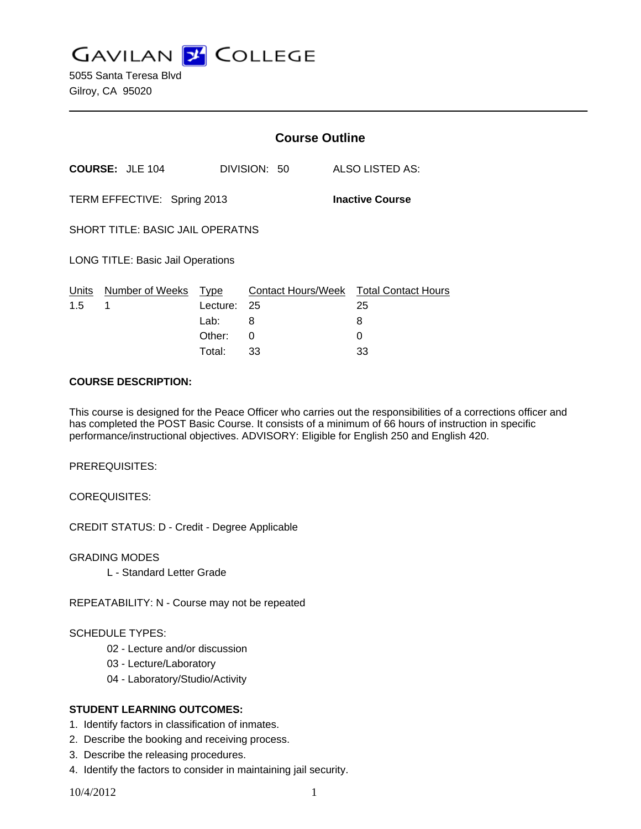**GAVILAN J COLLEGE** 

5055 Santa Teresa Blvd Gilroy, CA 95020

|                                                       |                        | <b>Course Outline</b>              |                |                                                        |
|-------------------------------------------------------|------------------------|------------------------------------|----------------|--------------------------------------------------------|
|                                                       | <b>COURSE: JLE 104</b> |                                    | DIVISION: 50   | ALSO LISTED AS:                                        |
| TERM EFFECTIVE: Spring 2013<br><b>Inactive Course</b> |                        |                                    |                |                                                        |
| SHORT TITLE: BASIC JAIL OPERATNS                      |                        |                                    |                |                                                        |
| <b>LONG TITLE: Basic Jail Operations</b>              |                        |                                    |                |                                                        |
| Units<br>1.5                                          | Number of Weeks<br>1   | Type<br>Lecture:<br>Lab:<br>Other: | - 25<br>8<br>0 | Contact Hours/Week Total Contact Hours<br>25<br>8<br>0 |
|                                                       |                        | Total:                             | 33             | 33                                                     |

### **COURSE DESCRIPTION:**

This course is designed for the Peace Officer who carries out the responsibilities of a corrections officer and has completed the POST Basic Course. It consists of a minimum of 66 hours of instruction in specific performance/instructional objectives. ADVISORY: Eligible for English 250 and English 420.

PREREQUISITES:

COREQUISITES:

CREDIT STATUS: D - Credit - Degree Applicable

GRADING MODES

L - Standard Letter Grade

REPEATABILITY: N - Course may not be repeated

### SCHEDULE TYPES:

- 02 Lecture and/or discussion
- 03 Lecture/Laboratory
- 04 Laboratory/Studio/Activity

## **STUDENT LEARNING OUTCOMES:**

- 1. Identify factors in classification of inmates.
- 2. Describe the booking and receiving process.
- 3. Describe the releasing procedures.
- 4. Identify the factors to consider in maintaining jail security.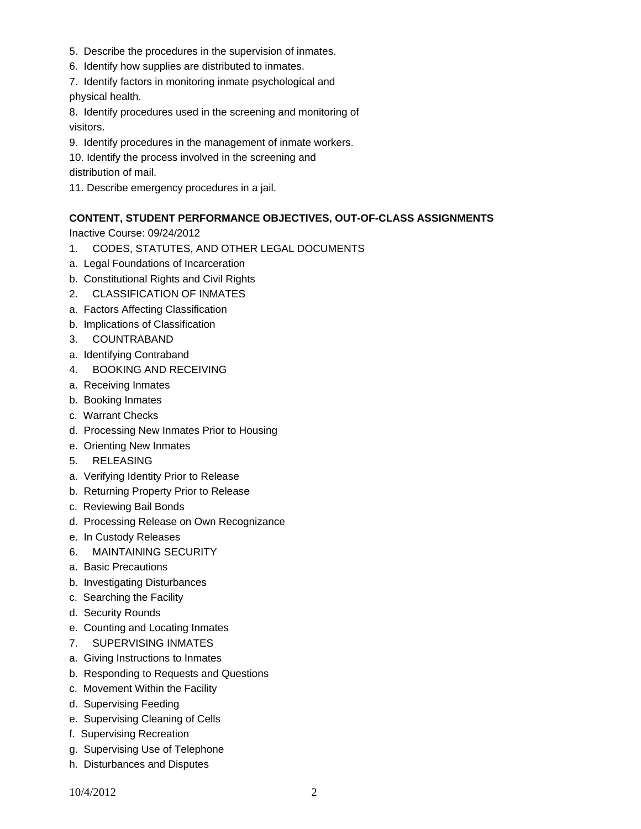- 5. Describe the procedures in the supervision of inmates.
- 6. Identify how supplies are distributed to inmates.

7. Identify factors in monitoring inmate psychological and physical health.

8. Identify procedures used in the screening and monitoring of visitors.

9. Identify procedures in the management of inmate workers.

10. Identify the process involved in the screening and

distribution of mail.

11. Describe emergency procedures in a jail.

# **CONTENT, STUDENT PERFORMANCE OBJECTIVES, OUT-OF-CLASS ASSIGNMENTS**

Inactive Course: 09/24/2012

- 1. CODES, STATUTES, AND OTHER LEGAL DOCUMENTS
- a. Legal Foundations of Incarceration
- b. Constitutional Rights and Civil Rights
- 2. CLASSIFICATION OF INMATES
- a. Factors Affecting Classification
- b. Implications of Classification
- 3. COUNTRABAND
- a. Identifying Contraband
- 4. BOOKING AND RECEIVING
- a. Receiving Inmates
- b. Booking Inmates
- c. Warrant Checks
- d. Processing New Inmates Prior to Housing
- e. Orienting New Inmates
- 5. RELEASING
- a. Verifying Identity Prior to Release
- b. Returning Property Prior to Release
- c. Reviewing Bail Bonds
- d. Processing Release on Own Recognizance
- e. In Custody Releases
- 6. MAINTAINING SECURITY
- a. Basic Precautions
- b. Investigating Disturbances
- c. Searching the Facility
- d. Security Rounds
- e. Counting and Locating Inmates
- 7. SUPERVISING INMATES
- a. Giving Instructions to Inmates
- b. Responding to Requests and Questions
- c. Movement Within the Facility
- d. Supervising Feeding
- e. Supervising Cleaning of Cells
- f. Supervising Recreation
- g. Supervising Use of Telephone
- h. Disturbances and Disputes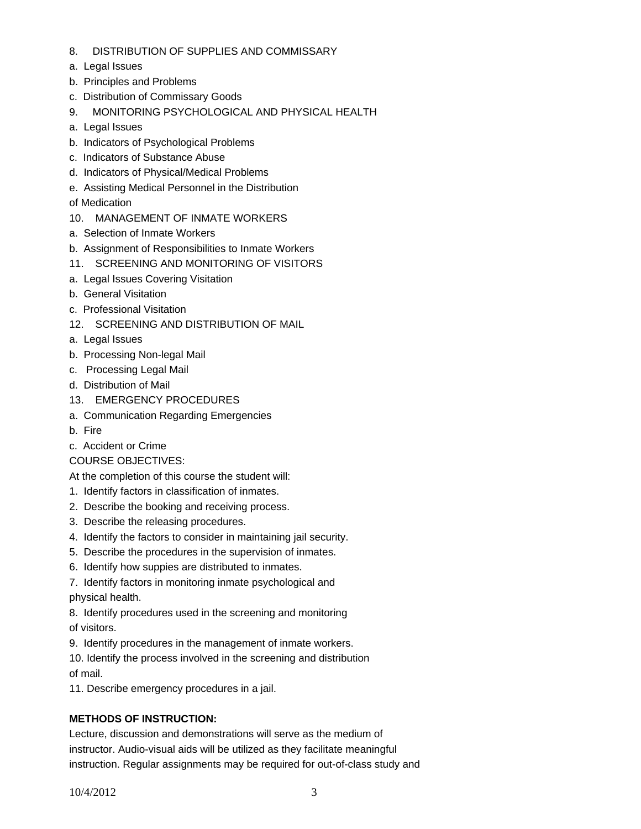- 8. DISTRIBUTION OF SUPPLIES AND COMMISSARY
- a. Legal Issues
- b. Principles and Problems
- c. Distribution of Commissary Goods
- 9. MONITORING PSYCHOLOGICAL AND PHYSICAL HEALTH
- a. Legal Issues
- b. Indicators of Psychological Problems
- c. Indicators of Substance Abuse
- d. Indicators of Physical/Medical Problems
- e. Assisting Medical Personnel in the Distribution
- of Medication
- 10. MANAGEMENT OF INMATE WORKERS
- a. Selection of Inmate Workers
- b. Assignment of Responsibilities to Inmate Workers
- 11. SCREENING AND MONITORING OF VISITORS
- a. Legal Issues Covering Visitation
- b. General Visitation
- c. Professional Visitation
- 12. SCREENING AND DISTRIBUTION OF MAIL
- a. Legal Issues
- b. Processing Non-legal Mail
- c. Processing Legal Mail
- d. Distribution of Mail
- 13. EMERGENCY PROCEDURES
- a. Communication Regarding Emergencies
- b. Fire
- c. Accident or Crime
- COURSE OBJECTIVES:

At the completion of this course the student will:

- 1. Identify factors in classification of inmates.
- 2. Describe the booking and receiving process.
- 3. Describe the releasing procedures.
- 4. Identify the factors to consider in maintaining jail security.
- 5. Describe the procedures in the supervision of inmates.
- 6. Identify how suppies are distributed to inmates.

7. Identify factors in monitoring inmate psychological and physical health.

8. Identify procedures used in the screening and monitoring

of visitors.

9. Identify procedures in the management of inmate workers.

10. Identify the process involved in the screening and distribution of mail.

11. Describe emergency procedures in a jail.

# **METHODS OF INSTRUCTION:**

Lecture, discussion and demonstrations will serve as the medium of instructor. Audio-visual aids will be utilized as they facilitate meaningful instruction. Regular assignments may be required for out-of-class study and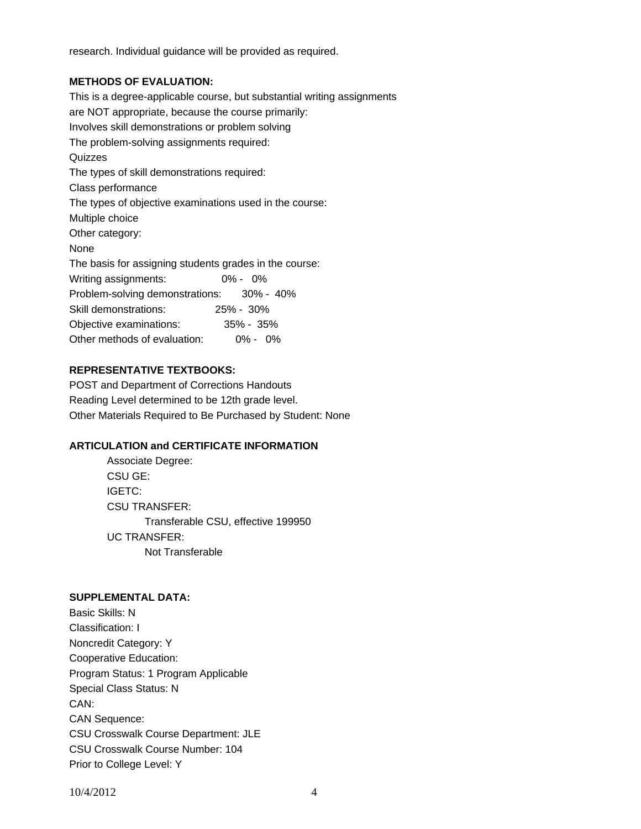research. Individual guidance will be provided as required.

### **METHODS OF EVALUATION:**

This is a degree-applicable course, but substantial writing assignments are NOT appropriate, because the course primarily: Involves skill demonstrations or problem solving The problem-solving assignments required: **Quizzes** The types of skill demonstrations required: Class performance The types of objective examinations used in the course: Multiple choice Other category: None The basis for assigning students grades in the course: Writing assignments: 0% - 0% Problem-solving demonstrations: 30% - 40% Skill demonstrations: 25% - 30% Objective examinations: 35% - 35% Other methods of evaluation: 0% - 0%

## **REPRESENTATIVE TEXTBOOKS:**

POST and Department of Corrections Handouts Reading Level determined to be 12th grade level. Other Materials Required to Be Purchased by Student: None

## **ARTICULATION and CERTIFICATE INFORMATION**

 Transferable CSU, effective 199950 UC TRANSFER: Not Transferable Associate Degree: CSU GE: IGETC: CSU TRANSFER:

#### **SUPPLEMENTAL DATA:**

Basic Skills: N Classification: I Noncredit Category: Y Cooperative Education: Program Status: 1 Program Applicable Special Class Status: N CAN: CAN Sequence: CSU Crosswalk Course Department: JLE CSU Crosswalk Course Number: 104 Prior to College Level: Y